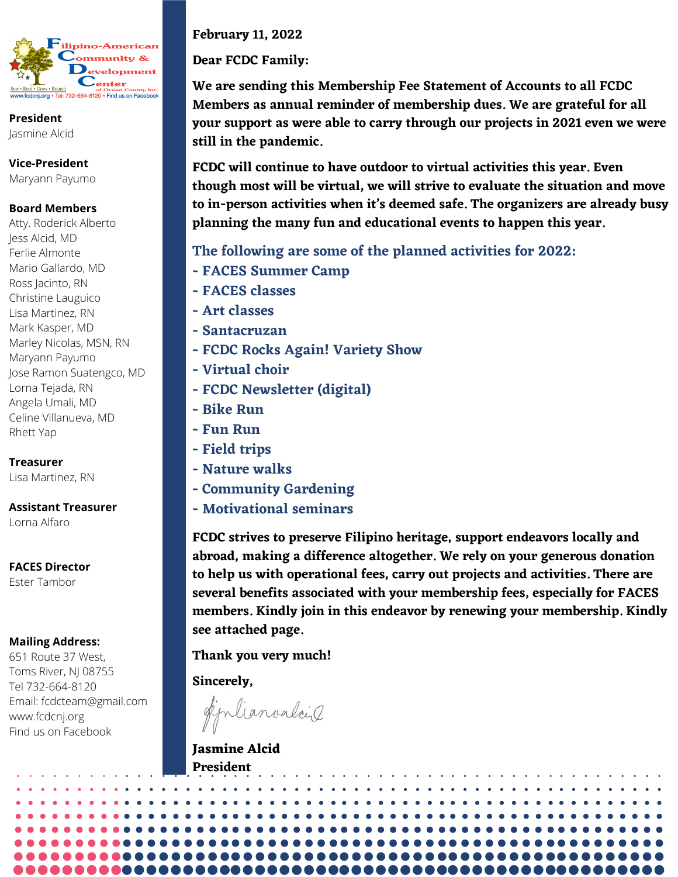

**President** Jasmine Alcid

**Vice-President** Maryann Payumo

## **Board Members**

Atty. Roderick Alberto Jess Alcid, MD Ferlie Almonte Mario Gallardo, MD Ross Jacinto, RN Christine Lauguico Lisa Martinez, RN Mark Kasper, MD Marley Nicolas, MSN, RN Maryann Payumo Jose Ramon Suatengco, MD Lorna Tejada, RN Angela Umali, MD Celine Villanueva, MD Rhett Yap

**Treasurer** Lisa Martinez, RN

**Assistant Treasurer**

Lorna Alfaro

**FACES Director** Ester Tambor

## **Mailing Address:**

651 Route 37 West, Toms River, NJ 08755 Tel 732-664-8120 Email: fcdcteam@gmail.com [www.fcdcnj.org](http://www.fcdcnj.org/) Find us on Facebook

**February 11, 2022**

**Dear FCDC Family:**

**We are sending this Membership Fee Statement of Accounts to all FCDC Members as annual reminder of membership dues. We are grateful for all your support as were able to carry through our projects in 2021 even we were still in the pandemic.**

**FCDC will continue to have outdoor to virtual activities this year. Even though most will be virtual, we will strive to evaluate the situation and move to in-person activities when it's deemed safe. The organizers are already busy planning the many fun and educational events to happen this year.**

**The following are some of the planned activities for 2022:**

- **- FACES Summer Camp**
- **- FACES classes**
- **- Art classes**
- **- Santacruzan**
- **- FCDC Rocks Again! Variety Show**
- **- Virtual choir**
- **- FCDC Newsletter (digital)**
- **- Bike Run**
- **- Fun Run**
- **- Field trips**
- **- Nature walks**
- **- Community Gardening**
- **- Motivational seminars**

**FCDC strives to preserve Filipino heritage, support endeavors locally and abroad, making a difference altogether. We rely on your generous donation to help us with operational fees, carry out projects and activities. There are several benefits associated with your membership fees, especially for FACES members. Kindly join in this endeavor by renewing your membership. Kindly see attached page.**

**Thank you very much!**

**Sincerely,**

diplianvalois

**Jasmine Alcid President**